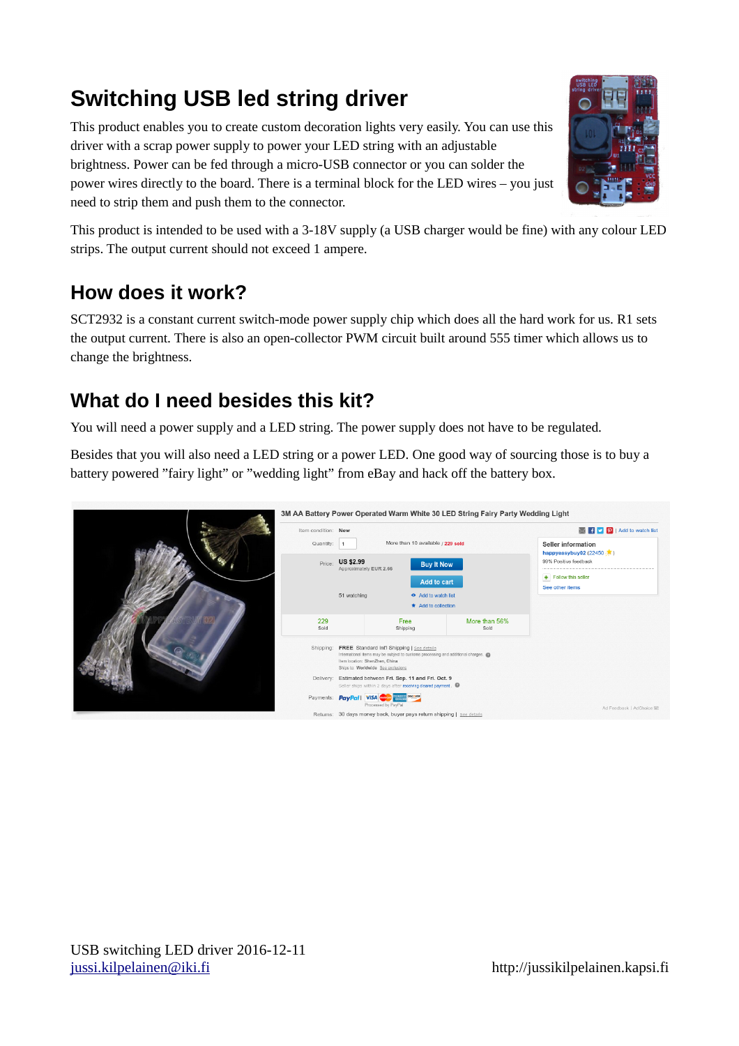## **Switching USB led string driver**

This product enables you to create custom decoration lights very easily. You can use this driver with a scrap power supply to power your LED string with an adjustable brightness. Power can be fed through a micro-USB connector or you can solder the power wires directly to the board. There is a terminal block for the LED wires – you just need to strip them and push them to the connector.



This product is intended to be used with a 3-18V supply (a USB charger would be fine) with any colour LED strips. The output current should not exceed 1 ampere.

## **How does it work?**

SCT2932 is a constant current switch-mode power supply chip which does all the hard work for us. R1 sets the output current. There is also an open-collector PWM circuit built around 555 timer which allows us to change the brightness.

## **What do I need besides this kit?**

You will need a power supply and a LED string. The power supply does not have to be regulated.

Besides that you will also need a LED string or a power LED. One good way of sourcing those is to buy a battery powered "fairy light" or "wedding light" from eBay and hack off the battery box.

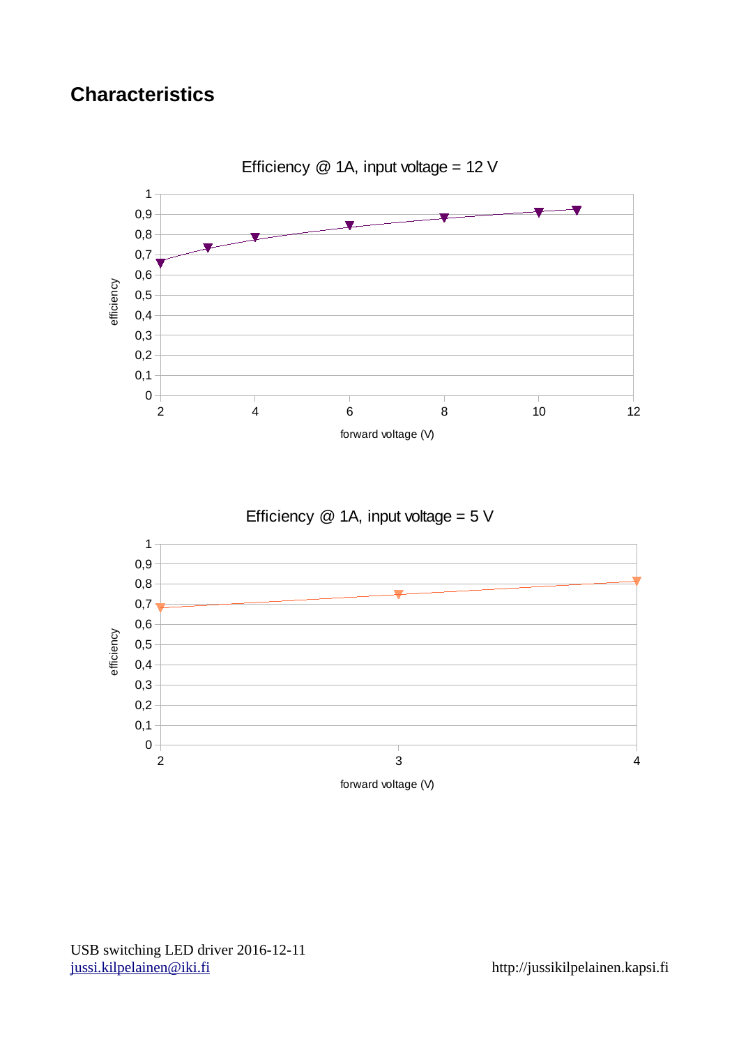## **Characteristics**



Efficiency  $@$  1A, input voltage = 5 V